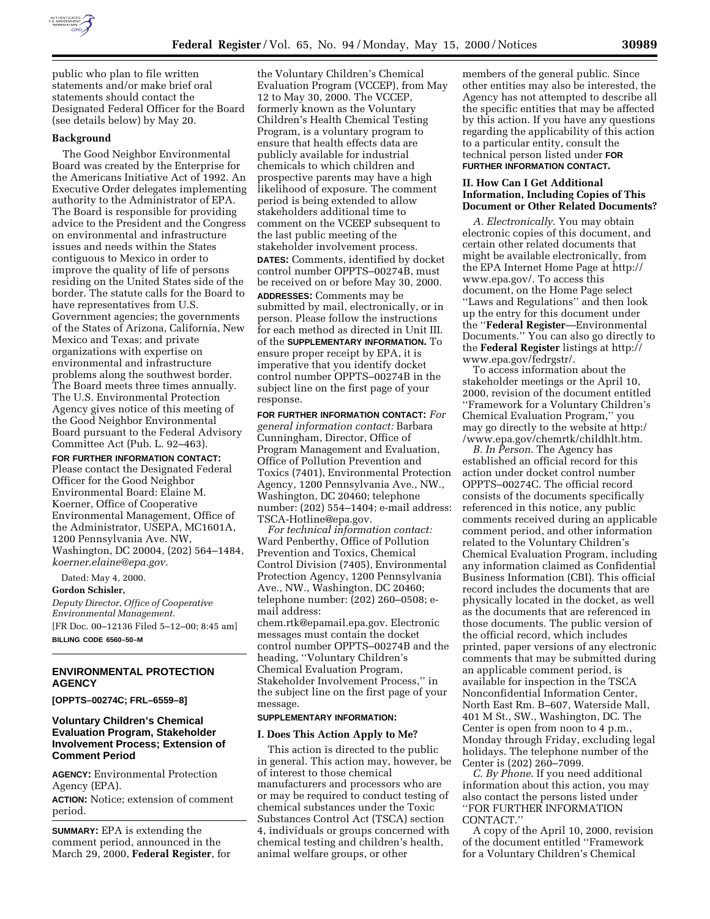

public who plan to file written statements and/or make brief oral statements should contact the Designated Federal Officer for the Board (see details below) by May 20.

#### **Background**

The Good Neighbor Environmental Board was created by the Enterprise for the Americans Initiative Act of 1992. An Executive Order delegates implementing authority to the Administrator of EPA. The Board is responsible for providing advice to the President and the Congress on environmental and infrastructure issues and needs within the States contiguous to Mexico in order to improve the quality of life of persons residing on the United States side of the border. The statute calls for the Board to have representatives from U.S. Government agencies; the governments of the States of Arizona, California, New Mexico and Texas; and private organizations with expertise on environmental and infrastructure problems along the southwest border. The Board meets three times annually. The U.S. Environmental Protection Agency gives notice of this meeting of the Good Neighbor Environmental Board pursuant to the Federal Advisory Committee Act (Pub. L. 92–463).

**FOR FURTHER INFORMATION CONTACT:** Please contact the Designated Federal Officer for the Good Neighbor Environmental Board: Elaine M. Koerner, Office of Cooperative Environmental Management, Office of the Administrator, USEPA, MC1601A, 1200 Pennsylvania Ave. NW, Washington, DC 20004, (202) 564–1484, *koerner.elaine@epa.gov.*

Dated: May 4, 2000.

**Gordon Schisler,**

*Deputy Director, Office of Cooperative Environmental Management.* [FR Doc. 00–12136 Filed 5–12–00; 8:45 am] **BILLING CODE 6560–50–M**

# **ENVIRONMENTAL PROTECTION AGENCY**

**[OPPTS–00274C; FRL–6559–8]**

# **Voluntary Children's Chemical Evaluation Program, Stakeholder Involvement Process; Extension of Comment Period**

**AGENCY:** Environmental Protection Agency (EPA).

**ACTION:** Notice; extension of comment period.

**SUMMARY:** EPA is extending the comment period, announced in the March 29, 2000, **Federal Register**, for

the Voluntary Children's Chemical Evaluation Program (VCCEP), from May 12 to May 30, 2000. The VCCEP, formerly known as the Voluntary Children's Health Chemical Testing Program, is a voluntary program to ensure that health effects data are publicly available for industrial chemicals to which children and prospective parents may have a high likelihood of exposure. The comment period is being extended to allow stakeholders additional time to comment on the VCEEP subsequent to the last public meeting of the stakeholder involvement process. **DATES:** Comments, identified by docket control number OPPTS-00274B, must be received on or before May 30, 2000.

**ADDRESSES:** Comments may be submitted by mail, electronically, or in person. Please follow the instructions for each method as directed in Unit III. of the **SUPPLEMENTARY INFORMATION.** To ensure proper receipt by EPA, it is imperative that you identify docket control number OPPTS–00274B in the subject line on the first page of your response.

**FOR FURTHER INFORMATION CONTACT:** *For general information contact:* Barbara Cunningham, Director, Office of Program Management and Evaluation, Office of Pollution Prevention and Toxics (7401), Environmental Protection Agency, 1200 Pennsylvania Ave., NW., Washington, DC 20460; telephone number: (202) 554–1404; e-mail address: TSCA-Hotline@epa.gov.

*For technical information contact:* Ward Penberthy, Office of Pollution Prevention and Toxics, Chemical Control Division (7405), Environmental Protection Agency, 1200 Pennsylvania Ave., NW., Washington, DC 20460; telephone number: (202) 260–0508; email address:

chem.rtk@epamail.epa.gov. Electronic messages must contain the docket control number OPPTS–00274B and the heading, ''Voluntary Children's Chemical Evaluation Program, Stakeholder Involvement Process,'' in the subject line on the first page of your message.

# **SUPPLEMENTARY INFORMATION:**

#### **I. Does This Action Apply to Me?**

This action is directed to the public in general. This action may, however, be of interest to those chemical manufacturers and processors who are or may be required to conduct testing of chemical substances under the Toxic Substances Control Act (TSCA) section 4, individuals or groups concerned with chemical testing and children's health, animal welfare groups, or other

members of the general public. Since other entities may also be interested, the Agency has not attempted to describe all the specific entities that may be affected by this action. If you have any questions regarding the applicability of this action to a particular entity, consult the technical person listed under **FOR FURTHER INFORMATION CONTACT.**

#### **II. How Can I Get Additional Information, Including Copies of This Document or Other Related Documents?**

*A. Electronically*. You may obtain electronic copies of this document, and certain other related documents that might be available electronically, from the EPA Internet Home Page at http:// www.epa.gov/. To access this document, on the Home Page select ''Laws and Regulations'' and then look up the entry for this document under the ''**Federal Register**—Environmental Documents.'' You can also go directly to the **Federal Register** listings at http:// www.epa.gov/fedrgstr/.

To access information about the stakeholder meetings or the April 10, 2000, revision of the document entitled ''Framework for a Voluntary Children's Chemical Evaluation Program,'' you may go directly to the website at http:/ /www.epa.gov/chemrtk/childhlt.htm.

*B. In Person*. The Agency has established an official record for this action under docket control number OPPTS–00274C. The official record consists of the documents specifically referenced in this notice, any public comments received during an applicable comment period, and other information related to the Voluntary Children's Chemical Evaluation Program, including any information claimed as Confidential Business Information (CBI). This official record includes the documents that are physically located in the docket, as well as the documents that are referenced in those documents. The public version of the official record, which includes printed, paper versions of any electronic comments that may be submitted during an applicable comment period, is available for inspection in the TSCA Nonconfidential Information Center, North East Rm. B–607, Waterside Mall, 401 M St., SW., Washington, DC. The Center is open from noon to 4 p.m., Monday through Friday, excluding legal holidays. The telephone number of the Center is (202) 260–7099.

*C. By Phone*. If you need additional information about this action, you may also contact the persons listed under ''FOR FURTHER INFORMATION CONTACT.''

A copy of the April 10, 2000, revision of the document entitled ''Framework for a Voluntary Children's Chemical